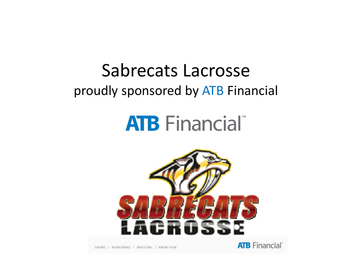#### Sabrecats Lacrosseproudly sponsored by ATB Financial

# **ATB** Financial





SAVING I BORROWING I INVESTING I KNOW-HOW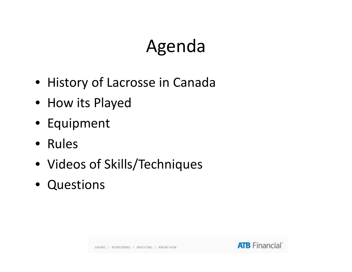### Agenda

- History of Lacrosse in Canada
- How its Played
- Equipment
- Rules
- Videos of Skills/Techniques
- Questions

SAVING 1 BORROWING 1 INVESTING 1 KNOW-HOW

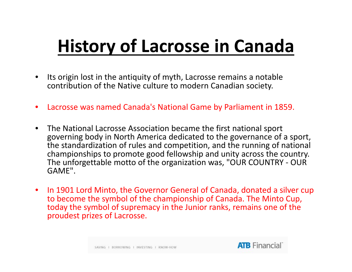## **History of Lacrosse in Canada**

- $\bullet$  $\bullet$  Its origin lost in the antiquity of myth, Lacrosse remains a notable contribution of the Native culture to modern Canadian society.
- $\bullet$ Lacrosse was named Canada's National Game by Parliament in 1859.
- • The National Lacrosse Association became the first national sport governing body in North America dedicated to the governance of <sup>a</sup> sport, the standardization of rules and competition, and the running of national championships to promote good fellowship and unity across the country. The unforgettable motto of the organization was, "OUR COUNTRY ‐ OUR GAME".
- $\bullet$ • In 1901 Lord Minto, the Governor General of Canada, donated a silver cup to become the symbol of the championship of Canada. The Minto Cup, today the symbol of supremacy in the Junior ranks, remains one of the proudest prizes of Lacrosse.

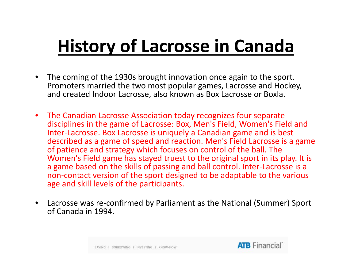## **History of Lacrosse in Canada**

- $\bullet$  The coming of the 1930s brought innovation once again to the sport. Promoters married the two most popular games, Lacrosse and Hockey, and created Indoor Lacrosse, also known as Box Lacrosse or Boxla.
- $\bullet$  The Canadian Lacrosse Association today recognizes four separate disciplines in the game of Lacrosse: Box, Men's Field, Women's Field and Inter‐Lacrosse. Box Lacrosse is uniquely <sup>a</sup> Canadian game and is best described as <sup>a</sup> game of speed and reaction. Men's Field Lacrosse is <sup>a</sup> game of patience and strategy which focuses on control of the ball. The Women's Field game has stayed truest to the original sport in its play. It is a game based on the skills of passing and ball control. Inter‐Lacrosse is <sup>a</sup> non‐contact version of the sport designed to be adaptable to the various age and skill levels of the participants.
- $\bullet$  Lacrosse was re‐confirmed by Parliament as the National (Summer) Sport of Canada in 1994.

SAVING I BORROWING I INVESTING I KNOW-HOW

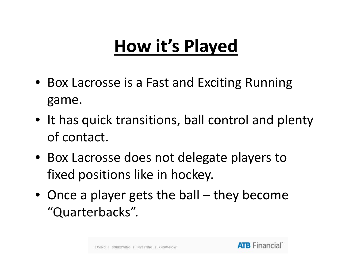### **How it s' Played**

- Box Lacrosse is <sup>a</sup> Fast and Exciting Running game.
- $\bullet\;$  It has quick transitions, ball control and plenty of contact.
- Box Lacrosse does not delegate players to fixed positions like in hockey.
- Once <sup>a</sup> player gets the ball they become "Quarterbacks".

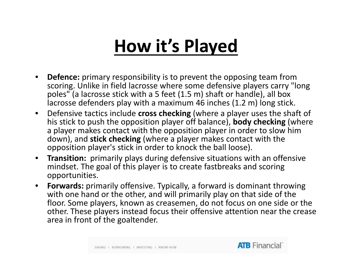### **How it s' Played**

- $\bullet$  **Defence:** primary responsibility is to prevent the opposing team from scoring. Unlike in field lacrosse where some defensive players carry "long poles" (a lacrosse stick with <sup>a</sup> 5 feet (1.5 m) shaft or handle), all box lacrosse defenders play with <sup>a</sup> maximum 46 inches (1.2 m) long stick.
- $\bullet$  Defensive tactics include **cross checking** (where <sup>a</sup> player uses the shaft of his stick to push the opposition player off balance), **body checking** (where a player makes contact with the opposition player in order to slow him down), and **stick checking** (where <sup>a</sup> player makes contact with the opposition player's stick in order to knock the ball loose).
- $\bullet$  **Transition:** primarily plays during defensive situations with an offensive mindset. The goal of this player is to create fastbreaks and scoring opportunities.
- $\bullet$ Forwards: primarily offensive. Typically, a forward is dominant throwing with one hand or the other, and will primarily play on that side of the floor. Some players, known as creasemen, do not focus on one side or the other. These players instead focus their offensive attention near the crease area in front of the goaltender.

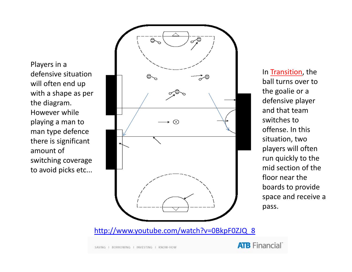Players in <sup>a</sup> defensive situationwill often end up with <sup>a</sup> shape as per the diagram. However whileman type defence there is significant amount of switching coverage to avoid picks etc...



In <u>Transition</u>, the the goalie or <sup>a</sup> defensive player and that teamoffense. In this situation, two players will often run quickly to the mid section of the floor near theboards to provide space and receive <sup>a</sup> pass.

http://www.youtube.com/watch?v=0BkpF0ZJQ\_8

SAVING 1 BORROWING 1 INVESTING 1 KNOW-HOW

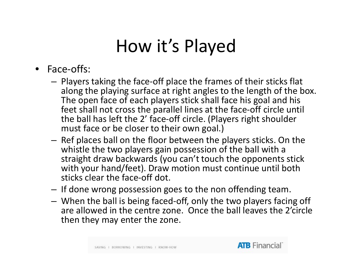#### How it's Played

- Face‐offs:
	- – $-$  Players taking the face-off place the frames of their sticks flat along the playing surface at right angles to the length of the box. The open face of each players stick shall face his goal and his feet shall not cross the parallel lines at the face‐off circle until the ball has left the 2' face‐off circle. (Players right shoulder must face or be closer to their own goal.)
	- – $-$  Ref places ball on the floor between the players sticks. On the whistle the two players gain possession of the ball with a straight draw backwards (you can't touch the opponents stick with your hand/feet). Draw motion must continue until both sticks clear the face‐off dot.
	- – $-$  If done wrong possession goes to the non offending team.
	- – When the ball is being faced‐off, only the two players facing off are allowed in the centre zone. Once the ball leaves the 2'circle then they may enter the zone.

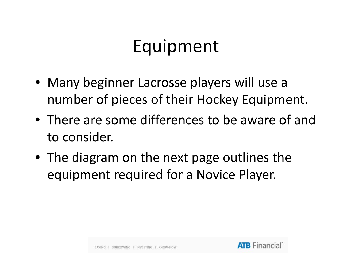#### Equipment

- Many beginner Lacrosse players will use <sup>a</sup> number of pieces of their Hockey Equipment.
- There are some differences to be aware of and to consider.
- The diagram on the next page outlines the equipment required for <sup>a</sup> Novice Player.

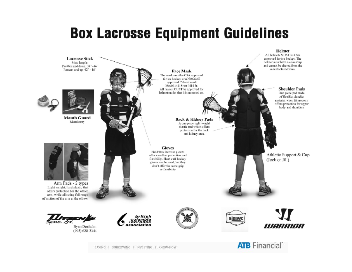#### **Box Lacrosse Equipment Guidelines**



SAVING I BORROWING I INVESTING I KNOW-HOW

**ATB** Financial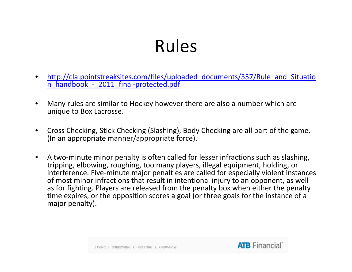### Rules

- •http://cla.pointstreaksites.com/files/uploaded\_documents/357/Rule\_and\_Situatio n handbook - 2011 final-protected.pdf  $\overline{\phantom{a}}$  $\overline{\phantom{a}}$
- • Many rules are similar to Hockey however there are also <sup>a</sup> number which are unique to Box Lacrosse.
- $\bullet$  Cross Checking, Stick Checking (Slashing), Body Checking are all part of the game. (In an appropriate manner/appropriate force).
- $\bullet$ ● A two-minute minor penalty is often called for lesser infractions such as slashing, tripping, elbowing, roughing, too many players, illegal equipment, holding, or interference. Five‐minute major penalties are called for especially violent instances of most minor infractions that result in intentional injury to an opponent, as well as for fighting. Players are released from the penalty box when either the penalty time expires, or the opposition scores <sup>a</sup> goal (or three goals for the instance of <sup>a</sup> major penalty).

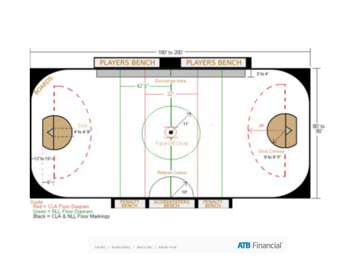

SAVING 1 BORROWING 1 INVESTING 1 KNOW-HOW

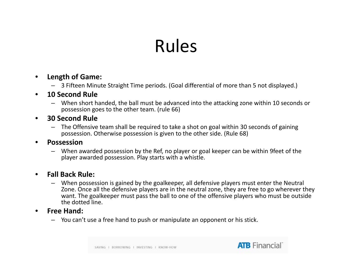### Rules

#### $\bullet$ **Length of Game:**

 $-$  3 Fifteen Minute Straight Time periods. (Goal differential of more than 5 not displayed.)

#### •**10 Second Rule**

- When short handed, the ball must be advanced into the attacking zone within 10 seconds or possession goes to the other team. (rule 66)
- $\bullet$  **30 Second Rule**
	- The Offensive team shall be required to take <sup>a</sup> shot on goal within 30 seconds of gaining possession. Otherwise possession is given to the other side. (Rule 68)

#### •**Possession**

– When awarded possession by the Ref, no player or goal keeper can be within 9feet of the player awarded possession. Play starts with <sup>a</sup> whistle.

#### •**Fall Back Rule:**

- When possession is gained by the goalkeeper, all defensive players must enter the Neutral Zone. Once all the defensive players are in the neutral zone, they are free to go wherever they want. The goalkeeper must pass the ball to one of the offensive players who must be outside the dotted line.
- • **Free Hand:**
	- $-$  You can't use a free hand to push or manipulate an opponent or his stick.



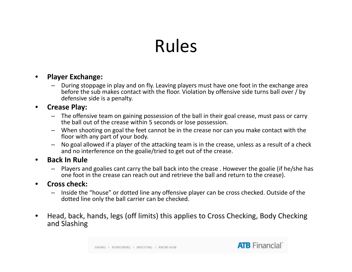### Rules

#### •**Player Exchange:**

- During stoppage in play and on fly. Leaving players must have one foot in the exchange area before the sub makes contact with the floor. Violation by offensive side turns ball over / by defensive side is <sup>a</sup> penalty.
- • **Crease Play:**
	- $-$  The offensive team on gaining possession of the ball in their goal crease, must pass or carry the ball out of the crease within 5 seconds or lose possession.
	- When shooting on goal the feet cannot be in the crease nor can you make contact with the floor with any part of your body.
	- No goal allowed if <sup>a</sup> player of the attacking team is in the crease, unless as <sup>a</sup> result of <sup>a</sup> check and no interference on the goalie/tried to get out of the crease.
- • **Back In Rule**
	- – Players and goalies cant carry the ball back into the crease . However the goalie (if he/she has one foot in the crease can reach out and retrieve the ball and return to the crease).

#### •**Cross check:**

- – Inside the "house" or dotted line any offensive player can be cross checked. Outside of the dotted line only the ball carrier can be checked.
- $\bullet$  Head, back, hands, legs (off limits) this applies to Cross Checking, Body Checking and Slashing